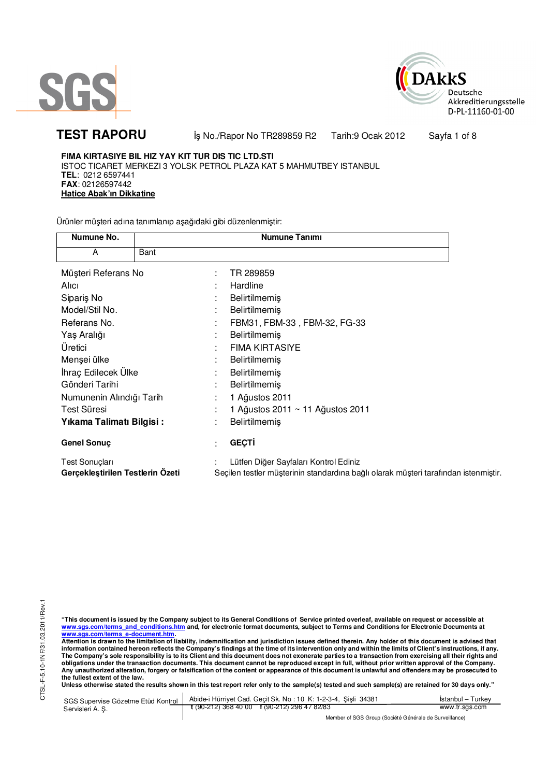



**TEST RAPORU** iş No./Rapor No TR289859 R2 Tarih:9 Ocak 2012 Sayfa 1 of 8

**FIMA KIRTASIYE BIL HIZ YAY KIT TUR DIS TIC LTD.STI** ISTOC TICARET MERKEZI 3 YOLSK PETROL PLAZA KAT 5 MAHMUTBEY ISTANBUL **TEL**: 0212 6597441 **FAX**: 02126597442 **Hatice Abak'ın Dikkatine**

Ürünler müşteri adına tanımlanıp aşağıdaki gibi düzenlenmiştir:

| Numune No.                       | Numune Tanımı                                                                       |
|----------------------------------|-------------------------------------------------------------------------------------|
| Bant<br>A                        |                                                                                     |
| Müşteri Referans No              | TR 289859<br>÷                                                                      |
| Alici                            | Hardline                                                                            |
| Siparis No                       | <b>Belirtilmemiş</b>                                                                |
| Model/Stil No.                   | Belirtilmemiş                                                                       |
| Referans No.                     | FBM31, FBM-33, FBM-32, FG-33<br>٠                                                   |
| Yaş Aralığı                      | <b>Belirtilmemiş</b><br>٠                                                           |
| Uretici                          | <b>FIMA KIRTASIYE</b>                                                               |
| Menşei ülke                      | <b>Belirtilmemiş</b>                                                                |
| İhraç Edilecek Ülke              | <b>Belirtilmemiş</b><br>٠                                                           |
| Gönderi Tarihi                   | <b>Belirtilmemiş</b>                                                                |
| Numunenin Alındığı Tarih         | 1 Ağustos 2011                                                                      |
| Test Süresi                      | 1 Ağustos 2011 ~ 11 Ağustos 2011                                                    |
| Yıkama Talimatı Bilgisi:         | <b>Belirtilmemiş</b><br>٠                                                           |
| Genel Sonuç                      | <b>GEÇTİ</b><br>٠                                                                   |
| Test Sonuçları                   | Lütfen Diğer Sayfaları Kontrol Ediniz                                               |
| Gerçekleştirilen Testlerin Ozeti | Seçilen testler müşterinin standardına bağlı olarak müşteri tarafından istenmiştir. |

"This document is issued by the Company subject to its General Conditions of Service printed overleaf, available on request or accessible at<br>www.sgs.com/terms\_and\_conditions.htm\_and, for electronic format documents, subjec <mark>www.sgs.com/terms\_e-document.htm.</mark><br>Attention is drawn to the limitation of liability, indemnification and jurisdiction issues defined therein. Any holder of this document is advised that

information contained hereon reflects the Company's findings at the time of its intervention only and within the limits of Client's instructions, if any.<br>The Company's sole responsibility is to its Client and this document obligations under the transaction documents. This document cannot be reproduced except in full, without prior written approval of the Company.<br>Any unauthorized alteration, forgery or falsification of the content or appeara

**Unless otherwise stated the results shown in this test report refer only to the sample(s) tested and such sample(s) are retained for 30 days only."** 

| SGS Supervise Gözetme Etüd Kontrol | Abide-i Hürriyet Cad. Gecit Sk. No: 10 K: 1-2-3-4, Sisli 34381       | Istanbul – Turkev |
|------------------------------------|----------------------------------------------------------------------|-------------------|
| Servisleri A. S.                   | $\frac{1}{2}$ (90-212) 368 40 00 $\frac{1}{2}$ (90-212) 296 47 82/83 | www.tr.sas.com    |
|                                    | Member of SGS Group (Société Générale de Surveillance)               |                   |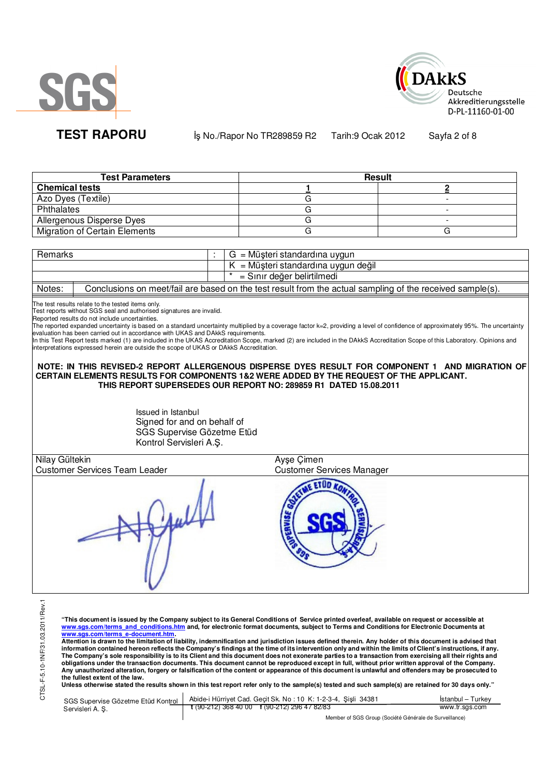



**TEST RAPORU** iş No./Rapor No TR289859 R2 Tarih:9 Ocak 2012 Sayfa 2 of 8

**Test Parameters Result Chemical tests 1 2** Azo Dyes (Textile) G - Phthalates **Contract Contract Contract Contract Contract Contract Contract Contract Contract Contract Contract Contract Contract Contract Contract Contract Contract Contract Contract Contract Contract Contract Contract Con** Allergenous Disperse Dyes and allergenous Disperse Dyes Migration of Certain Elements G G

| Remarks |  | ∡ = Müşteri standardına uygun                                                                            |
|---------|--|----------------------------------------------------------------------------------------------------------|
|         |  | $K = M\ddot{\omega}$ şteri standardına uygun değil                                                       |
|         |  | = Sınır değer belirtilmedi                                                                               |
| Notae:  |  | Conclusions on moot/fail are based on the test result from the actual sampling of the received sample(s) |

Notes: Conclusions on meet/fail are based on the test result from the actual sampling of the received sample(s).

The test results relate to the tested items only. Test reports without SGS seal and authorised signatures are invalid.

Reported results do not include uncertainties.

The reported expanded uncertainty is based on a standard uncertainty multiplied by a coverage factor k=2, providing a level of confidence of approximately 95%. The uncertainty evaluation has been carried out in accordance with UKAS and DAkkS requirements.<br>In this Test Report tests marked (1) are included in the UKAS Accreditation Scope, marked (2) are included in the DAkkS Accreditation Scope of

in this reserve port tests maked (i) are installed in the error respectitution.<br>Interpretations expressed herein are outside the scope of UKAS or DAkkS Accreditation.

**NOTE: IN THIS REVISED-2 REPORT ALLERGENOUS DISPERSE DYES RESULT FOR COMPONENT 1 AND MIGRATION OF CERTAIN ELEMENTS RESULTS FOR COMPONENTS 1&2 WERE ADDED BY THE REQUEST OF THE APPLICANT. THIS REPORT SUPERSEDES OUR REPORT NO: 289859 R1 DATED 15.08.2011**

> Issued in Istanbul Signed for and on behalf of SGS Supervise Gözetme Etüd Kontrol Servisleri A.Ş.

| $\rightarrow$<br>Nilay Gültekin      | Ayşe Çimen                       |
|--------------------------------------|----------------------------------|
| <b>Customer Services Team Leader</b> | <b>Customer Services Manager</b> |
|                                      |                                  |

**"This document is issued by the Company subject to its General Conditions of Service printed overleaf, available on request or accessible at www.sgs.com/terms\_and\_conditions.htm and, for electronic format documents, subject to Terms and Conditions for Electronic Documents at** 

<mark>www.sgs.com/terms\_e-document.htm.</mark><br>Attention is drawn to the limitation of liability, indemnification and jurisdiction issues defined therein. Any holder of this document is advised that information contained hereon reflects the Company's findings at the time of its intervention only and within the limits of Client's instructions, if any.<br>The Company's sole responsibility is to its Client and this document **obligations under the transaction documents. This document cannot be reproduced except in full, without prior written approval of the Company. Any unauthorized alteration, forgery or falsification of the content or appearance of this document is unlawful and offenders may be prosecuted to the fullest extent of the law.** 

**Unless otherwise stated the results shown in this test report refer only to the sample(s) tested and such sample(s) are retained for 30 days only."** 

| SGS Supervise Gözetme Etüd Kontrol | Abide-i Hürriyet Cad. Gecit Sk. No: 10 K: 1-2-3-4, Sisli 34381 | Istanbul – Turkev |
|------------------------------------|----------------------------------------------------------------|-------------------|
| Servisleri A. S.                   | $\frac{1}{2}$ (90-212) 368 40 00 f (90-212) 296 47 82/83       | www.tr.sgs.com    |
|                                    | Member of SGS Group (Société Générale de Surveillance)         |                   |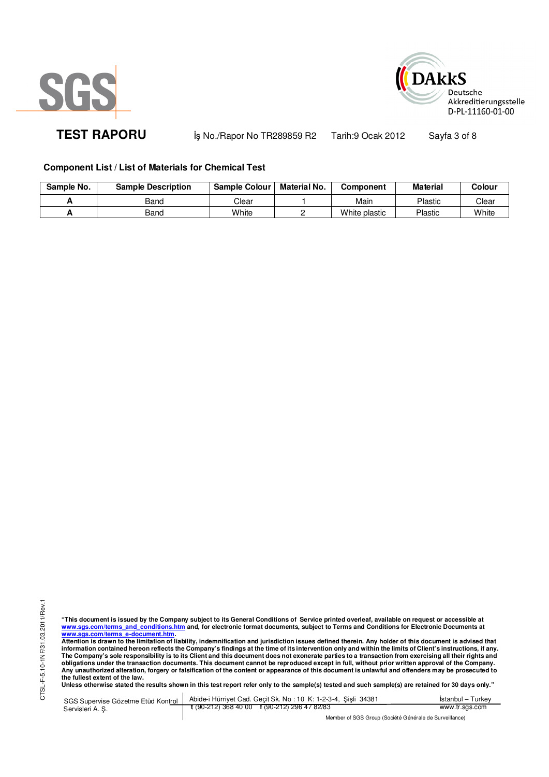



TEST RAPORU **By No./Rapor No TR289859 R2** Tarih:9 Ocak 2012 Sayfa 3 of 8

# **Component List / List of Materials for Chemical Test**

| Sample No. | <b>Sample Description</b> | <b>Sample Colour</b> | <b>Material No.</b> | Component     | <b>Material</b> | Colour |
|------------|---------------------------|----------------------|---------------------|---------------|-----------------|--------|
|            | Band                      | Clear                |                     | Main          | Plastic         | Clear  |
|            | Band                      | White                |                     | White plastic | Plastic         | White  |

"This document is issued by the Company subject to its General Conditions of Service printed overleaf, available on request or accessible at<br>www.sgs.com/terms\_and\_conditions.htm\_and, for electronic format documents, subjec <mark>www.sgs.com/terms\_e-document.htm.</mark><br>Attention is drawn to the limitation of liability, indemnification and jurisdiction issues defined therein. Any holder of this document is advised that

information contained hereon reflects the Company's findings at the time of its intervention only and within the limits of Client's instructions, if any.<br>The Company's sole responsibility is to its Client and this document **obligations under the transaction documents. This document cannot be reproduced except in full, without prior written approval of the Company. Any unauthorized alteration, forgery or falsification of the content or appearance of this document is unlawful and offenders may be prosecuted to the fullest extent of the law.** 

**Unless otherwise stated the results shown in this test report refer only to the sample(s) tested and such sample(s) are retained for 30 days only."** 

SGS Supervise Gözetme Etüd Kontrol Servisleri A. Ş. Abide-i Hürriyet Cad. Geçit Sk. No : 10 K: 1-2-3-4, Şişli 34381 **t** (90-212) 368 40 00 **f** (90-212) 296 47 82/83 İstanbul – Turkey www.tr.sgs.com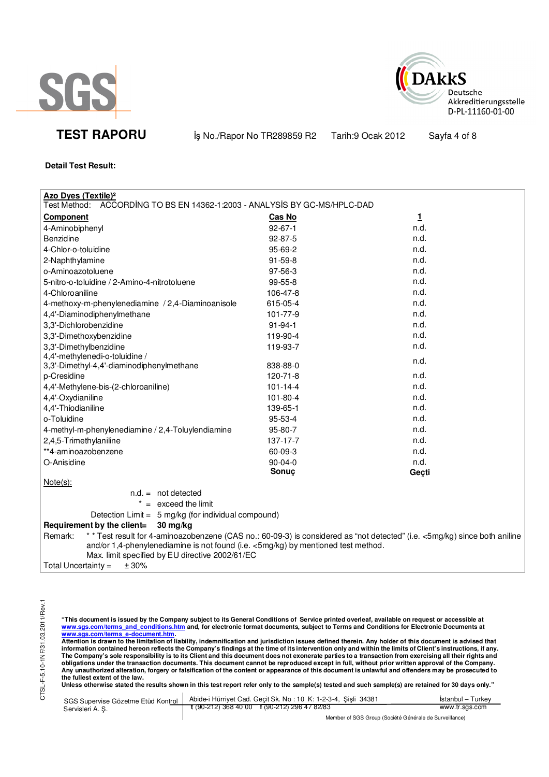



**TEST RAPORU** iş No./Rapor No TR289859 R2 Tarih:9 Ocak 2012 Sayfa 4 of 8

## **Detail Test Result:**

| <b>Azo Dyes (Textile)<sup>2</sup></b>                                                                                                                                                                                                                                         |                |       |
|-------------------------------------------------------------------------------------------------------------------------------------------------------------------------------------------------------------------------------------------------------------------------------|----------------|-------|
| Test Method:<br>ACCORDING TO BS EN 14362-1:2003 - ANALYSIS BY GC-MS/HPLC-DAD                                                                                                                                                                                                  |                |       |
| <b>Component</b>                                                                                                                                                                                                                                                              | <b>Cas No</b>  | 1     |
| 4-Aminobiphenyl                                                                                                                                                                                                                                                               | $92 - 67 - 1$  | n.d.  |
| <b>Benzidine</b>                                                                                                                                                                                                                                                              | 92-87-5        | n.d.  |
| 4-Chlor-o-toluidine                                                                                                                                                                                                                                                           | 95-69-2        | n.d.  |
| 2-Naphthylamine                                                                                                                                                                                                                                                               | 91-59-8        | n.d.  |
| o-Aminoazotoluene                                                                                                                                                                                                                                                             | 97-56-3        | n.d.  |
| 5-nitro-o-toluidine / 2-Amino-4-nitrotoluene                                                                                                                                                                                                                                  | 99-55-8        | n.d.  |
| 4-Chloroaniline                                                                                                                                                                                                                                                               | 106-47-8       | n.d.  |
| 4-methoxy-m-phenylenediamine / 2,4-Diaminoanisole                                                                                                                                                                                                                             | 615-05-4       | n.d.  |
| 4,4'-Diaminodiphenylmethane                                                                                                                                                                                                                                                   | 101-77-9       | n.d.  |
| 3,3'-Dichlorobenzidine                                                                                                                                                                                                                                                        | $91 - 94 - 1$  | n.d.  |
| 3,3'-Dimethoxybenzidine                                                                                                                                                                                                                                                       | 119-90-4       | n.d.  |
| 3,3'-Dimethylbenzidine                                                                                                                                                                                                                                                        | 119-93-7       | n.d.  |
| 4,4'-methylenedi-o-toluidine /                                                                                                                                                                                                                                                |                | n.d.  |
| 3,3'-Dimethyl-4,4'-diaminodiphenylmethane                                                                                                                                                                                                                                     | 838-88-0       |       |
| p-Cresidine                                                                                                                                                                                                                                                                   | 120-71-8       | n.d.  |
| 4,4'-Methylene-bis-(2-chloroaniline)                                                                                                                                                                                                                                          | $101 - 14 - 4$ | n.d.  |
| 4,4'-Oxydianiline                                                                                                                                                                                                                                                             | 101-80-4       | n.d.  |
| 4,4'-Thiodianiline                                                                                                                                                                                                                                                            | 139-65-1       | n.d.  |
| o-Toluidine                                                                                                                                                                                                                                                                   | 95-53-4        | n.d.  |
| 4-methyl-m-phenylenediamine / 2,4-Toluylendiamine                                                                                                                                                                                                                             | 95-80-7        | n.d.  |
| 2,4,5-Trimethylaniline                                                                                                                                                                                                                                                        | 137-17-7       | n.d.  |
| **4-aminoazobenzene                                                                                                                                                                                                                                                           | 60-09-3        | n.d.  |
| O-Anisidine                                                                                                                                                                                                                                                                   | 90-04-0        | n.d.  |
|                                                                                                                                                                                                                                                                               | Sonuç          | Geçti |
| $Note(s)$ :                                                                                                                                                                                                                                                                   |                |       |
| $n.d. = not detected$                                                                                                                                                                                                                                                         |                |       |
| $* =$ exceed the limit                                                                                                                                                                                                                                                        |                |       |
| Detection Limit = 5 mg/kg (for individual compound)                                                                                                                                                                                                                           |                |       |
| Requirement by the client=<br>$30 \,\mathrm{mg/kg}$                                                                                                                                                                                                                           |                |       |
| * * Test result for 4-aminoazobenzene (CAS no.: 60-09-3) is considered as "not detected" (i.e. <5mg/kg) since both aniline<br>Remark:<br>and/or 1,4-phenylenediamine is not found (i.e. <5mg/kg) by mentioned test method.<br>Max. limit specified by EU directive 2002/61/EC |                |       |
| Total Uncertainty $=$<br>± 30%                                                                                                                                                                                                                                                |                |       |

"This document is issued by the Company subject to its General Conditions of Service printed overleaf, available on request or accessible at<br>www.sgs.com/terms\_and\_conditions.htm\_and, for electronic format documents, subjec

<u>www.sgs.com/terms\_e-document.htm.</u><br>Attention is drawn to the limitation of liability, indemnification and jurisdiction issues defined therein. Any holder of this document is advised that<br>information contained hereon refle obligations under the transaction documents. This document cannot be reproduced except in full, without prior written approval of the Company.<br>Any unauthorized alteration, forgery or falsification of the content or appeara

**Unless otherwise stated the results shown in this test report refer only to the sample(s) tested and such sample(s) are retained for 30 days only."** 

| SGS Supervise Gözetme Etüd Kontrol | Abide-i Hürriyet Cad. Geçit Sk. No: 10 K: 1-2-3-4, Sisli 34381 | Istanbul – Turkey |
|------------------------------------|----------------------------------------------------------------|-------------------|
| Servisleri A.S.                    | $\frac{1}{2}$ (90-212) 368 40 00 f (90-212) 296 47 82/83       | www.tr.sgs.com    |
|                                    | Mombor of CCC Crown (Coolete Cánárolo do Curvoillongo)         |                   |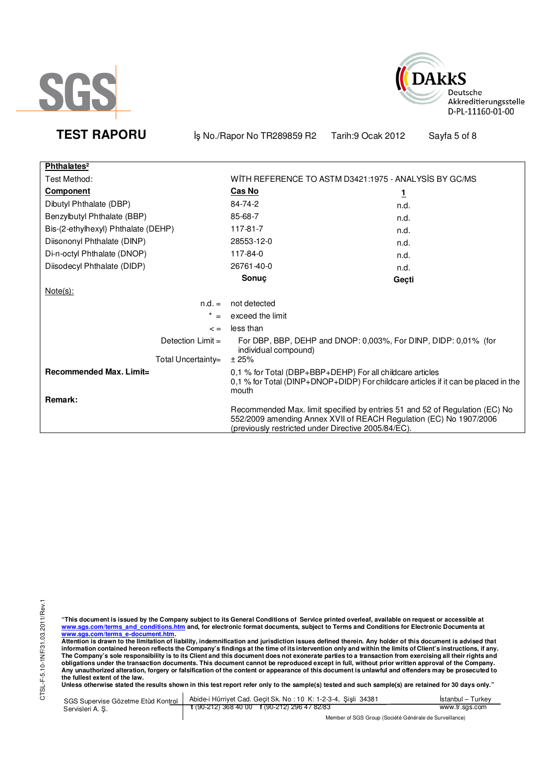



**TEST RAPORU** iş No./Rapor No TR289859 R2 Tarih:9 Ocak 2012 Sayfa 5 of 8

| Phthalates <sup>2</sup>             |                                                                                                                                                                                                          |       |
|-------------------------------------|----------------------------------------------------------------------------------------------------------------------------------------------------------------------------------------------------------|-------|
| Test Method:                        | WITH REFERENCE TO ASTM D3421:1975 - ANALYSIS BY GC/MS                                                                                                                                                    |       |
| <b>Component</b>                    | <b>Cas No</b>                                                                                                                                                                                            | 1     |
| Dibutyl Phthalate (DBP)             | 84-74-2                                                                                                                                                                                                  | n.d.  |
| Benzylbutyl Phthalate (BBP)         | 85-68-7                                                                                                                                                                                                  | n.d.  |
| Bis-(2-ethylhexyl) Phthalate (DEHP) | 117-81-7                                                                                                                                                                                                 | n.d.  |
| Diisononyl Phthalate (DINP)         | 28553-12-0                                                                                                                                                                                               | n.d.  |
| Di-n-octyl Phthalate (DNOP)         | 117-84-0                                                                                                                                                                                                 | n.d.  |
| Diisodecyl Phthalate (DIDP)         | 26761-40-0                                                                                                                                                                                               | n.d.  |
|                                     | Sonuç                                                                                                                                                                                                    | Gecti |
| $Note(s)$ :                         |                                                                                                                                                                                                          |       |
| $n.d. =$                            | not detected                                                                                                                                                                                             |       |
| $=$                                 | exceed the limit                                                                                                                                                                                         |       |
| $\leq$ $=$                          | less than                                                                                                                                                                                                |       |
| Detection $Limit =$                 | For DBP, BBP, DEHP and DNOP: 0,003%, For DINP, DIDP: 0,01% (for<br>individual compound)                                                                                                                  |       |
| Total Uncertainty=                  | ± 25%                                                                                                                                                                                                    |       |
| Recommended Max. Limit=             | 0,1 % for Total (DBP+BBP+DEHP) For all childcare articles<br>0,1 % for Total (DINP+DNOP+DIDP) For childcare articles if it can be placed in the<br>mouth                                                 |       |
| Remark:                             |                                                                                                                                                                                                          |       |
|                                     | Recommended Max. limit specified by entries 51 and 52 of Regulation (EC) No<br>552/2009 amending Annex XVII of REACH Regulation (EC) No 1907/2006<br>(previously restricted under Directive 2005/84/EC). |       |

CTSL-F-5.10-1NF/31.03.2011/Rev.1 CTSL-F-5.10-1NF/31.03.2011/Rev.1

"This document is issued by the Company subject to its General Conditions of Service printed overleaf, available on request or accessible at<br>www.sgs.com/terms\_and\_conditions.htm\_and, for electronic format documents, subjec

<u>www.sgs.com/terms\_e-document.htm.</u><br>Attention is drawn to the limitation of liability, indemnification and jurisdiction issues defined therein. Any holder of this document is advised that<br>information contained hereon refle obligations under the transaction documents. This document cannot be reproduced except in full, without prior written approval of the Company.<br>Any unauthorized alteration, forgery or falsification of the content or appeara

**Unless otherwise stated the results shown in this test report refer only to the sample(s) tested and such sample(s) are retained for 30 days only."** 

| SGS Supervise Gözetme Etüd Kontrol<br>Servisleri A. S. | Abide-i Hürriyet Cad. Gecit Sk. No: 10 K: 1-2-3-4, Sisli 34381 | Istanbul – Turkev |
|--------------------------------------------------------|----------------------------------------------------------------|-------------------|
|                                                        | $\frac{1}{2}$ (90-212) 368 40 00 f (90-212) 296 47 82/83       | www.tr.sgs.com    |
|                                                        | Member of SGS Group (Société Générale de Surveillance)         |                   |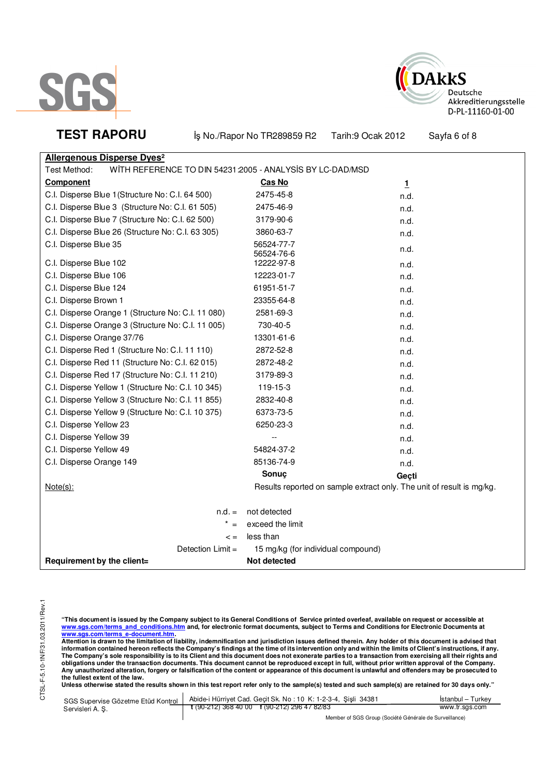



**TEST RAPORU** iş No./Rapor No TR289859 R2 Tarih:9 Ocak 2012 Sayfa 6 of 8

| <b>Allergenous Disperse Dyes<sup>2</sup></b>                              |                                                                       |       |
|---------------------------------------------------------------------------|-----------------------------------------------------------------------|-------|
| Test Method:<br>WITH REFERENCE TO DIN 54231:2005 - ANALYSIS BY LC-DAD/MSD |                                                                       |       |
| Component                                                                 | Cas No                                                                | 1     |
| C.I. Disperse Blue 1 (Structure No: C.I. 64 500)                          | 2475-45-8                                                             | n.d.  |
| C.I. Disperse Blue 3 (Structure No: C.I. 61 505)                          | 2475-46-9                                                             | n.d.  |
| C.I. Disperse Blue 7 (Structure No: C.I. 62 500)                          | 3179-90-6                                                             | n.d.  |
| C.I. Disperse Blue 26 (Structure No: C.I. 63 305)                         | 3860-63-7                                                             | n.d.  |
| C.I. Disperse Blue 35                                                     | 56524-77-7<br>56524-76-6                                              | n.d.  |
| C.I. Disperse Blue 102                                                    | 12222-97-8                                                            | n.d.  |
| C.I. Disperse Blue 106                                                    | 12223-01-7                                                            | n.d.  |
| C.I. Disperse Blue 124                                                    | 61951-51-7                                                            | n.d.  |
| C.I. Disperse Brown 1                                                     | 23355-64-8                                                            | n.d.  |
| C.I. Disperse Orange 1 (Structure No: C.I. 11 080)                        | 2581-69-3                                                             | n.d.  |
| C.I. Disperse Orange 3 (Structure No: C.I. 11 005)                        | 730-40-5                                                              | n.d.  |
| C.I. Disperse Orange 37/76                                                | 13301-61-6                                                            | n.d.  |
| C.I. Disperse Red 1 (Structure No: C.I. 11 110)                           | 2872-52-8                                                             | n.d.  |
| C.I. Disperse Red 11 (Structure No: C.I. 62 015)                          | 2872-48-2                                                             | n.d.  |
| C.I. Disperse Red 17 (Structure No: C.I. 11 210)                          | 3179-89-3                                                             | n.d.  |
| C.I. Disperse Yellow 1 (Structure No: C.I. 10 345)                        | 119-15-3                                                              | n.d.  |
| C.I. Disperse Yellow 3 (Structure No: C.I. 11 855)                        | 2832-40-8                                                             | n.d.  |
| C.I. Disperse Yellow 9 (Structure No: C.I. 10 375)                        | 6373-73-5                                                             | n.d.  |
| C.I. Disperse Yellow 23                                                   | 6250-23-3                                                             | n.d.  |
| C.I. Disperse Yellow 39                                                   |                                                                       | n.d.  |
| C.I. Disperse Yellow 49                                                   | 54824-37-2                                                            | n.d.  |
| C.I. Disperse Orange 149                                                  | 85136-74-9                                                            | n.d.  |
|                                                                           | Sonuç                                                                 | Geçti |
| $Note(s)$ :                                                               | Results reported on sample extract only. The unit of result is mg/kg. |       |
| $n.d. =$                                                                  | not detected                                                          |       |
|                                                                           | exceed the limit                                                      |       |
| $\leq$ =                                                                  | less than                                                             |       |
| Detection Limit =                                                         | 15 mg/kg (for individual compound)                                    |       |
| Requirement by the client=                                                | Not detected                                                          |       |

"This document is issued by the Company subject to its General Conditions of Service printed overleaf, available on request or accessible at<br>www.sgs.com/terms\_and\_conditions.htm\_and, for electronic format documents, subjec

<mark>www.sgs.com/terms\_e-document.htm.</mark><br>Attention is drawn to the limitation of liability, indemnification and jurisdiction issues defined therein. Any holder of this document is advised that information contained hereon reflects the Company's findings at the time of its intervention only and within the limits of Client's instructions, if any.<br>The Company's sole responsibility is to its Client and this document obligations under the transaction documents. This document cannot be reproduced except in full, without prior written approval of the Company.<br>Any unauthorized alteration, forgery or falsification of the content or appeara

**Unless otherwise stated the results shown in this test report refer only to the sample(s) tested and such sample(s) are retained for 30 days only."** 

| SGS Supervise Gözetme Etüd Kontrol | Abide-i Hürriyet Cad. Geçit Sk. No: 10 K: 1-2-3-4, Şişli 34381                                                       | Istanbul – Turkev |
|------------------------------------|----------------------------------------------------------------------------------------------------------------------|-------------------|
| Servisleri A. S.                   | $\frac{1}{2}$ (90-212) 368 40 00 f (90-212) 296 47 82/83                                                             | www.tr.sgs.com    |
|                                    | $M_{\rm BH}$ . The set of $\Omega$ and $\Omega$ is the set of $\Omega$ is the set of $\Omega$ is the set of $\Omega$ |                   |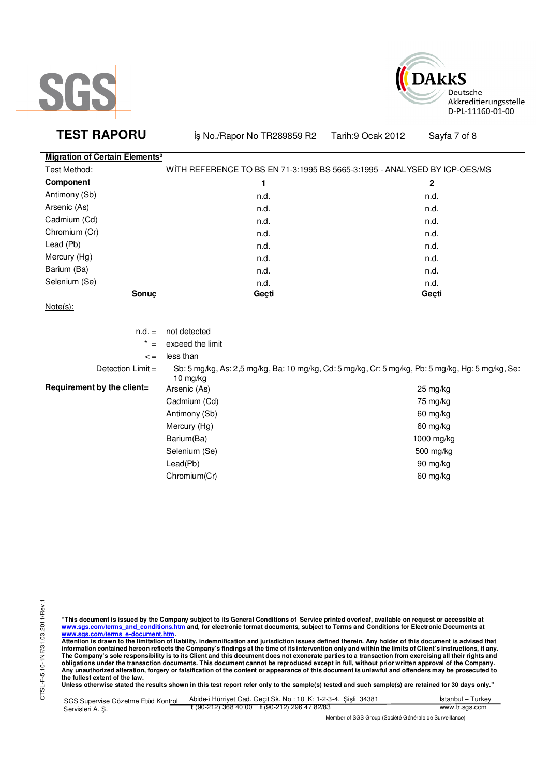



**TEST RAPORU** iş No./Rapor No TR289859 R2 Tarih:9 Ocak 2012 Sayfa 7 of 8 **Migration of Certain Elements²**

| Test Method:               | WITH REFERENCE TO BS EN 71-3:1995 BS 5665-3:1995 - ANALYSED BY ICP-OES/MS                                     |                       |  |
|----------------------------|---------------------------------------------------------------------------------------------------------------|-----------------------|--|
| <b>Component</b>           | 1                                                                                                             | $\overline{2}$        |  |
| Antimony (Sb)              | n.d.                                                                                                          | n.d.                  |  |
| Arsenic (As)               | n.d.                                                                                                          | n.d.                  |  |
| Cadmium (Cd)               | n.d.                                                                                                          | n.d.                  |  |
| Chromium (Cr)              | n.d.                                                                                                          | n.d.                  |  |
| Lead (Pb)                  | n.d.                                                                                                          | n.d.                  |  |
| Mercury (Hg)               | n.d.                                                                                                          | n.d.                  |  |
| Barium (Ba)                | n.d.                                                                                                          | n.d.                  |  |
| Selenium (Se)              | n.d.                                                                                                          | n.d.                  |  |
| Sonuç                      | Geçti                                                                                                         | Geçti                 |  |
| $Note(s)$ :                |                                                                                                               |                       |  |
|                            |                                                                                                               |                       |  |
| $n.d. =$                   | not detected                                                                                                  |                       |  |
| $^\star$<br>$=$            | exceed the limit                                                                                              |                       |  |
| $\leq$ =                   | less than                                                                                                     |                       |  |
| Detection Limit =          | Sb: 5 mg/kg, As: 2,5 mg/kg, Ba: 10 mg/kg, Cd: 5 mg/kg, Cr: 5 mg/kg, Pb: 5 mg/kg, Hg: 5 mg/kg, Se:<br>10 mg/kg |                       |  |
| Requirement by the client= | Arsenic (As)                                                                                                  | $25 \,\mathrm{mg/kg}$ |  |
|                            | Cadmium (Cd)                                                                                                  | 75 mg/kg              |  |
|                            | Antimony (Sb)                                                                                                 | 60 mg/kg              |  |
|                            | Mercury (Hg)                                                                                                  | 60 mg/kg              |  |
|                            | Barium(Ba)                                                                                                    | 1000 mg/kg            |  |
|                            | Selenium (Se)                                                                                                 | 500 mg/kg             |  |
|                            | Lead(Pb)                                                                                                      | 90 mg/kg              |  |
|                            | Chromium(Cr)                                                                                                  | 60 mg/kg              |  |
|                            |                                                                                                               |                       |  |

"This document is issued by the Company subject to its General Conditions of Service printed overleaf, available on request or accessible at<br>www.sgs.com/terms\_and\_conditions.htm\_and, for electronic format documents, subjec

<u>www.sgs.com/terms\_e-document.htm.</u><br>Attention is drawn to the limitation of liability, indemnification and jurisdiction issues defined therein. Any holder of this document is advised that<br>information contained hereon refle obligations under the transaction documents. This document cannot be reproduced except in full, without prior written approval of the Company.<br>Any unauthorized alteration, forgery or falsification of the content or appeara

**Unless otherwise stated the results shown in this test report refer only to the sample(s) tested and such sample(s) are retained for 30 days only."** 

|                  | SGS Supervise Gözetme Etüd Kontrol   Abide-i Hürriyet Cad. Geçit Sk. No: 10 K: 1-2-3-4, Şişli 34381 | Istanbul – Turkev |
|------------------|-----------------------------------------------------------------------------------------------------|-------------------|
| Servisleri A. S. | $\frac{1}{2}$ (90-212) 368 40 00 f (90-212) 296 47 82/83                                            | www.tr.sgs.com    |
|                  |                                                                                                     |                   |